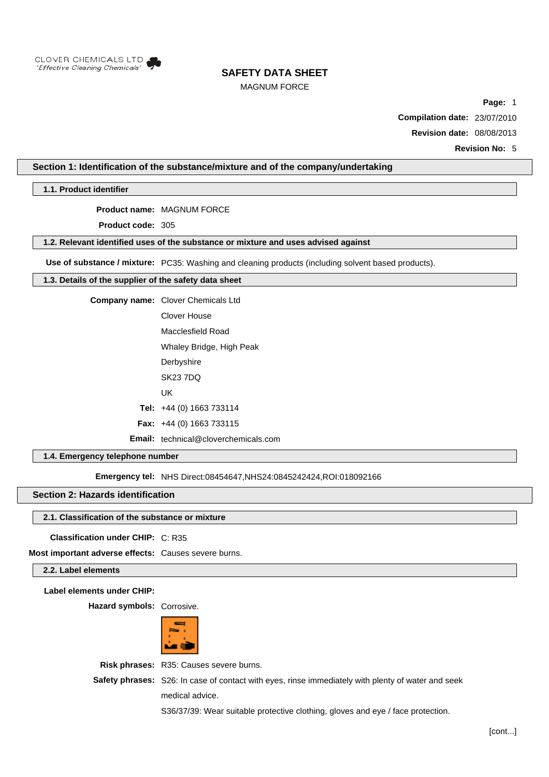

## MAGNUM FORCE

**Page:** 1

**Compilation date:** 23/07/2010

**Revision date:** 08/08/2013

**Revision No:** 5

## **Section 1: Identification of the substance/mixture and of the company/undertaking**

**1.1. Product identifier**

**Product name:** MAGNUM FORCE

**Product code:** 305

#### **1.2. Relevant identified uses of the substance or mixture and uses advised against**

**Use of substance / mixture:** PC35: Washing and cleaning products (including solvent based products).

#### **1.3. Details of the supplier of the safety data sheet**

**Company name:** Clover Chemicals Ltd

- Clover House Macclesfield Road Whaley Bridge, High Peak
	- **Derbyshire**
- SK23 7DQ
- UK
- **Tel:** +44 (0) 1663 733114
- **Fax:** +44 (0) 1663 733115
- **Email:** technical@cloverchemicals.com

## **1.4. Emergency telephone number**

**Emergency tel: NHS Direct:08454647,NHS24:0845242424,ROI:018092166** 

#### **Section 2: Hazards identification**

#### **2.1. Classification of the substance or mixture**

**Classification under CHIP:** C: R35

**Most important adverse effects:** Causes severe burns.

#### **2.2. Label elements**

**Label elements under CHIP:**

**Hazard symbols:** Corrosive.



**Risk phrases:** R35: Causes severe burns.

**Safety phrases:** S26: In case of contact with eyes, rinse immediately with plenty of water and seek medical advice.

S36/37/39: Wear suitable protective clothing, gloves and eye / face protection.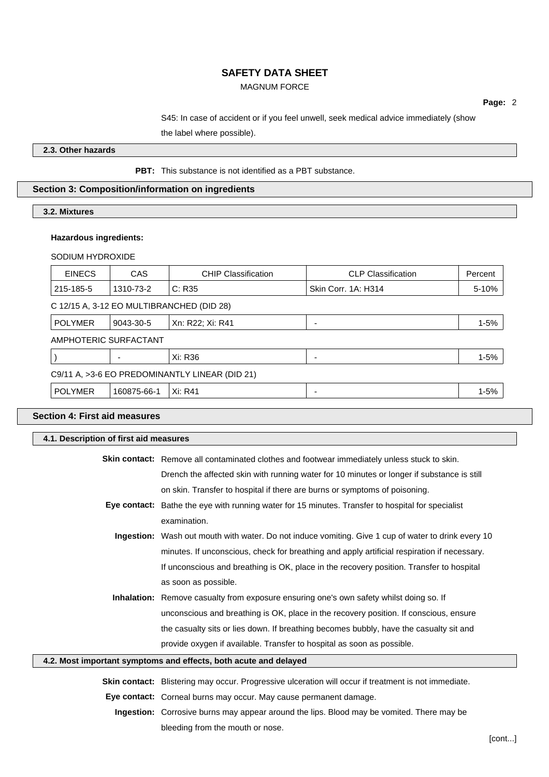## MAGNUM FORCE

**Page:** 2

S45: In case of accident or if you feel unwell, seek medical advice immediately (show

the label where possible).

**2.3. Other hazards**

## **PBT:** This substance is not identified as a PBT substance.

## **Section 3: Composition/information on ingredients**

## **3.2. Mixtures**

## **Hazardous ingredients:**

## SODIUM HYDROXIDE

| <b>CAS</b>                                     | <b>CHIP Classification</b> | <b>CLP Classification</b> | Percent  |  |
|------------------------------------------------|----------------------------|---------------------------|----------|--|
| 1310-73-2                                      | C: R35                     | Skin Corr. 1A: H314       | 5-10%    |  |
| C 12/15 A, 3-12 EO MULTIBRANCHED (DID 28)      |                            |                           |          |  |
| 9043-30-5                                      | Xn: R22; Xi: R41           | ٠                         | $1 - 5%$ |  |
| AMPHOTERIC SURFACTANT                          |                            |                           |          |  |
|                                                | Xi: R36                    | $\overline{\phantom{a}}$  | $1 - 5%$ |  |
| C9/11 A, >3-6 EO PREDOMINANTLY LINEAR (DID 21) |                            |                           |          |  |
| 160875-66-1                                    | Xi: R41                    | $\overline{\phantom{a}}$  | $1 - 5%$ |  |
|                                                |                            |                           |          |  |

## **Section 4: First aid measures**

| 4.1. Description of first aid measures                           |                                                                                                             |  |
|------------------------------------------------------------------|-------------------------------------------------------------------------------------------------------------|--|
|                                                                  | <b>Skin contact:</b> Remove all contaminated clothes and footwear immediately unless stuck to skin.         |  |
|                                                                  | Drench the affected skin with running water for 10 minutes or longer if substance is still                  |  |
|                                                                  | on skin. Transfer to hospital if there are burns or symptoms of poisoning.                                  |  |
|                                                                  | Eye contact: Bathe the eye with running water for 15 minutes. Transfer to hospital for specialist           |  |
|                                                                  | examination.                                                                                                |  |
|                                                                  | Ingestion: Wash out mouth with water. Do not induce vomiting. Give 1 cup of water to drink every 10         |  |
|                                                                  | minutes. If unconscious, check for breathing and apply artificial respiration if necessary.                 |  |
|                                                                  | If unconscious and breathing is OK, place in the recovery position. Transfer to hospital                    |  |
|                                                                  | as soon as possible.                                                                                        |  |
|                                                                  | Inhalation: Remove casualty from exposure ensuring one's own safety whilst doing so. If                     |  |
|                                                                  | unconscious and breathing is OK, place in the recovery position. If conscious, ensure                       |  |
|                                                                  | the casualty sits or lies down. If breathing becomes bubbly, have the casualty sit and                      |  |
|                                                                  | provide oxygen if available. Transfer to hospital as soon as possible.                                      |  |
| 4.2. Most important symptoms and effects, both acute and delayed |                                                                                                             |  |
|                                                                  | <b>Skin contact:</b> Blistering may occur. Progressive ulceration will occur if treatment is not immediate. |  |
|                                                                  | Eye contact: Corneal burns may occur. May cause permanent damage.                                           |  |
|                                                                  | <b>Ingestion:</b> Corrosive burns may appear around the lips. Blood may be vomited. There may be            |  |
|                                                                  | bleeding from the mouth or nose.                                                                            |  |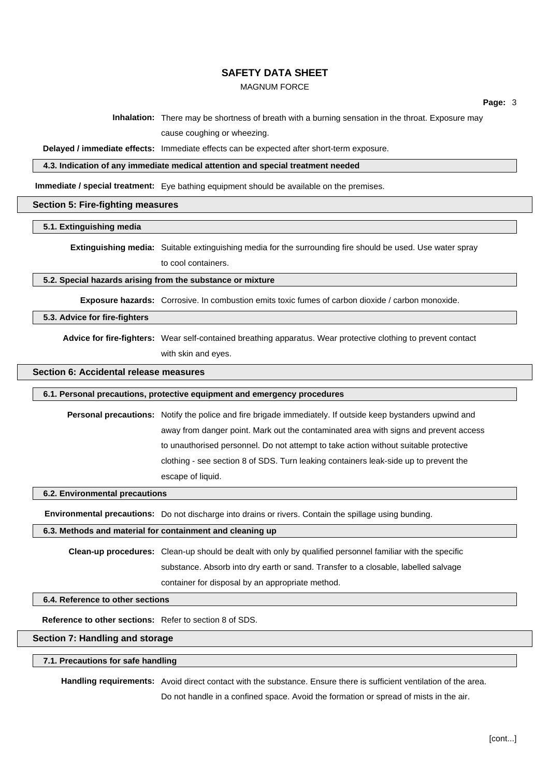## MAGNUM FORCE

**Page:** 3

**Inhalation:** There may be shortness of breath with a burning sensation in the throat. Exposure may

cause coughing or wheezing.

**Delayed / immediate effects:** Immediate effects can be expected after short-term exposure.

**4.3. Indication of any immediate medical attention and special treatment needed**

**Immediate / special treatment:** Eye bathing equipment should be available on the premises.

#### **Section 5: Fire-fighting measures**

## **5.1. Extinguishing media**

**Extinguishing media:** Suitable extinguishing media for the surrounding fire should be used. Use water spray to cool containers.

#### **5.2. Special hazards arising from the substance or mixture**

**Exposure hazards:** Corrosive. In combustion emits toxic fumes of carbon dioxide / carbon monoxide.

#### **5.3. Advice for fire-fighters**

**Advice for fire-fighters:** Wear self-contained breathing apparatus. Wear protective clothing to prevent contact with skin and eyes.

#### **Section 6: Accidental release measures**

#### **6.1. Personal precautions, protective equipment and emergency procedures**

**Personal precautions:** Notify the police and fire brigade immediately. If outside keep bystanders upwind and away from danger point. Mark out the contaminated area with signs and prevent access to unauthorised personnel. Do not attempt to take action without suitable protective clothing - see section 8 of SDS. Turn leaking containers leak-side up to prevent the escape of liquid.

#### **6.2. Environmental precautions**

**Environmental precautions:** Do not discharge into drains or rivers. Contain the spillage using bunding.

## **6.3. Methods and material for containment and cleaning up**

**Clean-up procedures:** Clean-up should be dealt with only by qualified personnel familiar with the specific substance. Absorb into dry earth or sand. Transfer to a closable, labelled salvage container for disposal by an appropriate method.

#### **6.4. Reference to other sections**

**Reference to other sections:** Refer to section 8 of SDS.

#### **Section 7: Handling and storage**

#### **7.1. Precautions for safe handling**

**Handling requirements:** Avoid direct contact with the substance. Ensure there is sufficient ventilation of the area. Do not handle in a confined space. Avoid the formation or spread of mists in the air.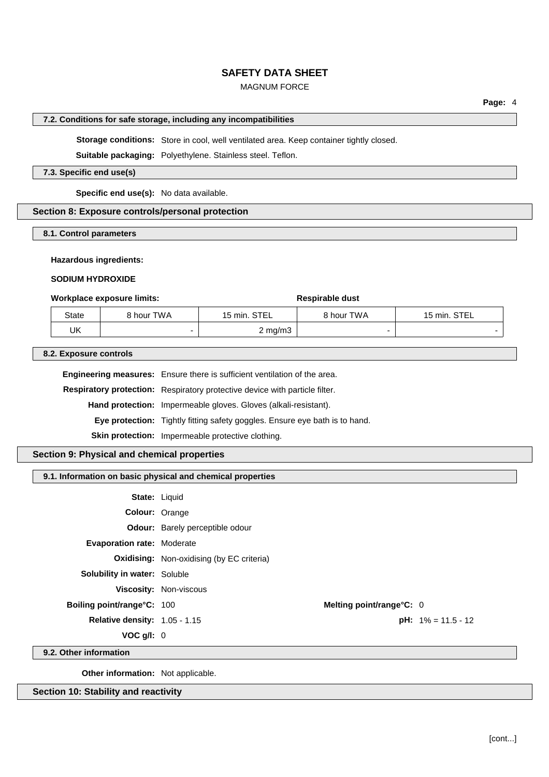## MAGNUM FORCE

#### **7.2. Conditions for safe storage, including any incompatibilities**

**Storage conditions:** Store in cool, well ventilated area. Keep container tightly closed.

**Suitable packaging:** Polyethylene. Stainless steel. Teflon.

#### **7.3. Specific end use(s)**

**Specific end use(s):** No data available.

## **Section 8: Exposure controls/personal protection**

### **8.1. Control parameters**

#### **Hazardous ingredients:**

#### **SODIUM HYDROXIDE**

#### **Workplace exposure limits: Respirable dust**

| State | 8 hour TWA | 15 min. STEL       | 8 hour TWA | STEL<br>15 min.          |
|-------|------------|--------------------|------------|--------------------------|
| UK    |            | $2 \text{ mg/m}$ 3 | -          | $\overline{\phantom{0}}$ |

**8.2. Exposure controls**

**Engineering measures:** Ensure there is sufficient ventilation of the area.

**Respiratory protection:** Respiratory protective device with particle filter.

**Hand protection:** Impermeable gloves. Gloves (alkali-resistant).

**Eye protection:** Tightly fitting safety goggles. Ensure eye bath is to hand.

**Skin protection:** Impermeable protective clothing.

## **Section 9: Physical and chemical properties**

#### **9.1. Information on basic physical and chemical properties**

| <b>State: Liquid</b>                 |                                                  |                          |                              |
|--------------------------------------|--------------------------------------------------|--------------------------|------------------------------|
| Colour: Orange                       |                                                  |                          |                              |
|                                      | <b>Odour:</b> Barely perceptible odour           |                          |                              |
| <b>Evaporation rate: Moderate</b>    |                                                  |                          |                              |
|                                      | <b>Oxidising:</b> Non-oxidising (by EC criteria) |                          |                              |
| <b>Solubility in water: Soluble</b>  |                                                  |                          |                              |
|                                      | Viscosity: Non-viscous                           |                          |                              |
| <b>Boiling point/range°C: 100</b>    |                                                  | Melting point/range°C: 0 |                              |
| <b>Relative density: 1.05 - 1.15</b> |                                                  |                          | <b>pH:</b> $1\% = 11.5 - 12$ |
| $VOC$ g/l: $0$                       |                                                  |                          |                              |
| .                                    |                                                  |                          |                              |

**9.2. Other information**

**Other information:** Not applicable.

**Section 10: Stability and reactivity**

**Page:** 4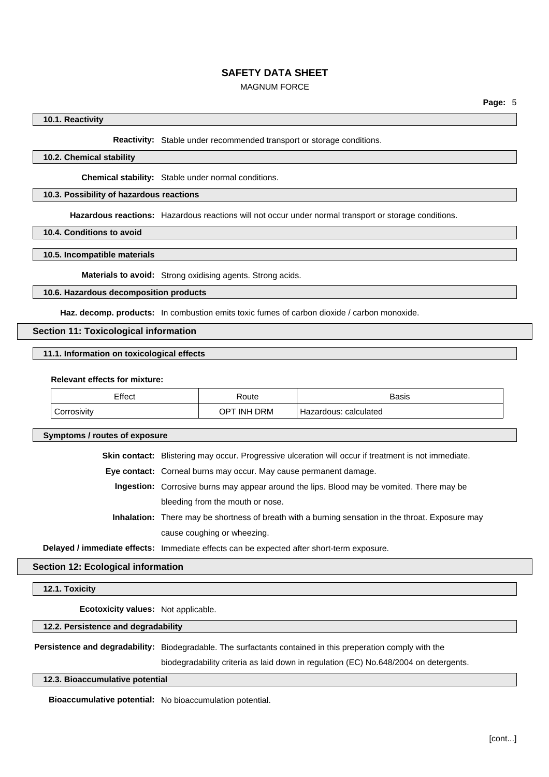## MAGNUM FORCE

#### **10.1. Reactivity**

**Reactivity:** Stable under recommended transport or storage conditions.

#### **10.2. Chemical stability**

**Chemical stability:** Stable under normal conditions.

## **10.3. Possibility of hazardous reactions**

**Hazardous reactions:** Hazardous reactions will not occur under normal transport or storage conditions.

**10.4. Conditions to avoid**

#### **10.5. Incompatible materials**

**Materials to avoid:** Strong oxidising agents. Strong acids.

#### **10.6. Hazardous decomposition products**

Haz. decomp. products: In combustion emits toxic fumes of carbon dioxide / carbon monoxide.

#### **Section 11: Toxicological information**

**11.1. Information on toxicological effects**

#### **Relevant effects for mixture:**

| Effect<br>____   | Route       | Basis                 |
|------------------|-------------|-----------------------|
| ∽<br>Corrosivity | OPT INH DRM | Hazardous: calculated |

**Symptoms / routes of exposure**

**Skin contact:** Blistering may occur. Progressive ulceration will occur if treatment is not immediate.

**Eye contact:** Corneal burns may occur. May cause permanent damage.

**Ingestion:** Corrosive burns may appear around the lips. Blood may be vomited. There may be bleeding from the mouth or nose.

**Inhalation:** There may be shortness of breath with a burning sensation in the throat. Exposure may cause coughing or wheezing.

**Delayed / immediate effects:** Immediate effects can be expected after short-term exposure.

#### **Section 12: Ecological information**

**12.1. Toxicity**

**Ecotoxicity values:** Not applicable.

**12.2. Persistence and degradability**

**Persistence and degradability:** Biodegradable. The surfactants contained in this preperation comply with the

biodegradability criteria as laid down in regulation (EC) No.648/2004 on detergents.

**12.3. Bioaccumulative potential**

**Bioaccumulative potential:** No bioaccumulation potential.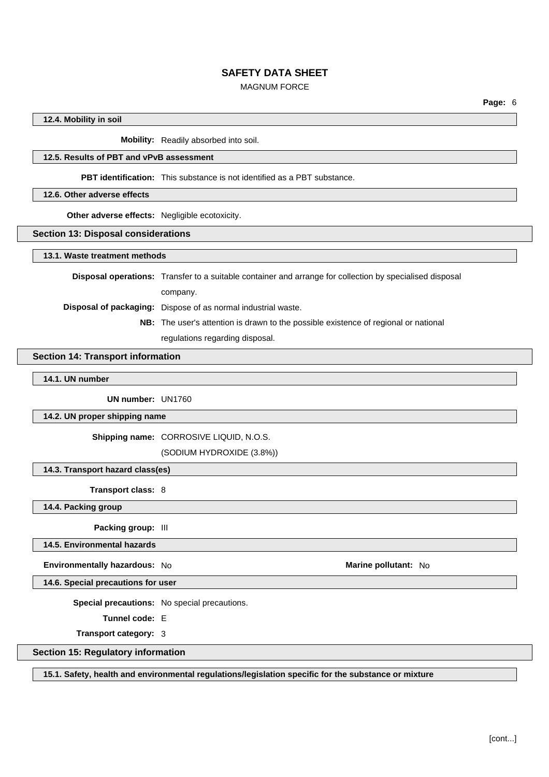## MAGNUM FORCE

[cont...]

**Page:** 6

**12.4. Mobility in soil**

**Mobility:** Readily absorbed into soil.

## **12.5. Results of PBT and vPvB assessment**

**PBT identification:** This substance is not identified as a PBT substance.

## **12.6. Other adverse effects**

**Other adverse effects:** Negligible ecotoxicity.

## **Section 13: Disposal considerations**

**13.1. Waste treatment methods**

**Disposal operations:** Transfer to a suitable container and arrange for collection by specialised disposal company. **Disposal of packaging:** Dispose of as normal industrial waste.

> **NB:** The user's attention is drawn to the possible existence of regional or national regulations regarding disposal.

#### **Section 14: Transport information**

**14.1. UN number**

**UN number:** UN1760

#### **14.2. UN proper shipping name**

**Shipping name:** CORROSIVE LIQUID, N.O.S.

(SODIUM HYDROXIDE (3.8%))

**14.3. Transport hazard class(es)**

**Transport class:** 8

**14.4. Packing group**

**Packing group:** III

**14.5. Environmental hazards**

**Environmentally hazardous:** No **Marine pollutant:** No

**14.6. Special precautions for user**

**Special precautions:** No special precautions.

**Tunnel code:** E

**Transport category:** 3

## **Section 15: Regulatory information**

**15.1. Safety, health and environmental regulations/legislation specific for the substance or mixture**